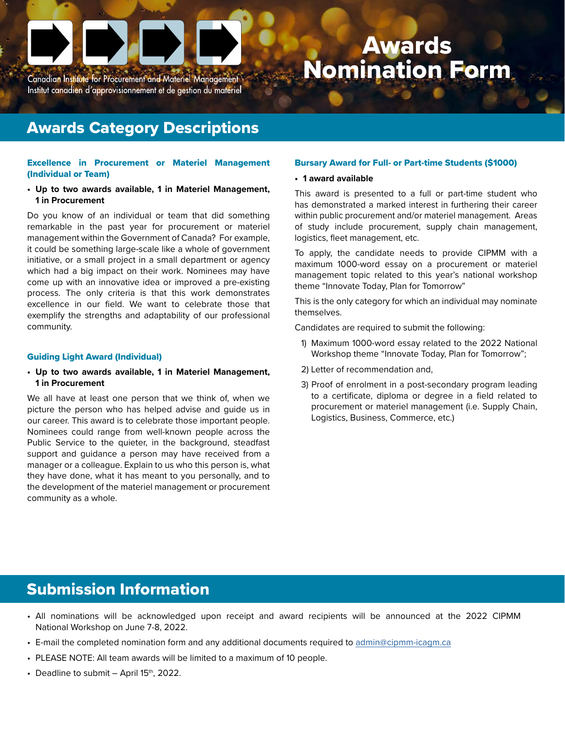

Awards Nomination Form

#### Awards Category Descriptions

#### Excellence in Procurement or Materiel Management (Individual or Team)

**• Up to two awards available, 1 in Materiel Management, 1 in Procurement**

Do you know of an individual or team that did something remarkable in the past year for procurement or materiel management within the Government of Canada? For example, it could be something large-scale like a whole of government initiative, or a small project in a small department or agency which had a big impact on their work. Nominees may have come up with an innovative idea or improved a pre-existing process. The only criteria is that this work demonstrates excellence in our field. We want to celebrate those that exemplify the strengths and adaptability of our professional community.

#### Guiding Light Award (Individual)

**• Up to two awards available, 1 in Materiel Management, 1 in Procurement**

We all have at least one person that we think of, when we picture the person who has helped advise and guide us in our career. This award is to celebrate those important people. Nominees could range from well-known people across the Public Service to the quieter, in the background, steadfast support and guidance a person may have received from a manager or a colleague. Explain to us who this person is, what they have done, what it has meant to you personally, and to the development of the materiel management or procurement community as a whole.

#### Bursary Award for Full- or Part-time Students (\$1000)

**• 1 award available**

This award is presented to a full or part-time student who has demonstrated a marked interest in furthering their career within public procurement and/or materiel management. Areas of study include procurement, supply chain management, logistics, fleet management, etc.

To apply, the candidate needs to provide CIPMM with a maximum 1000-word essay on a procurement or materiel management topic related to this year's national workshop theme "Innovate Today, Plan for Tomorrow"

This is the only category for which an individual may nominate themselves.

Candidates are required to submit the following:

- 1) Maximum 1000-word essay related to the 2022 National Workshop theme "Innovate Today, Plan for Tomorrow";
- 2) Letter of recommendation and,
- 3) Proof of enrolment in a post-secondary program leading to a certificate, diploma or degree in a field related to procurement or materiel management (i.e. Supply Chain, Logistics, Business, Commerce, etc.)

#### Submission Information

- All nominations will be acknowledged upon receipt and award recipients will be announced at the 2022 CIPMM National Workshop on June 7-8, 2022.
- E-mail the completed nomination form and any additional documents required to [admin@cipmm-icagm.ca](mailto:admin%40cipmm-icagm.ca%20?subject=)
- PLEASE NOTE: All team awards will be limited to a maximum of 10 people.
- Deadline to submit  $-$  April 15<sup>th</sup>, 2022.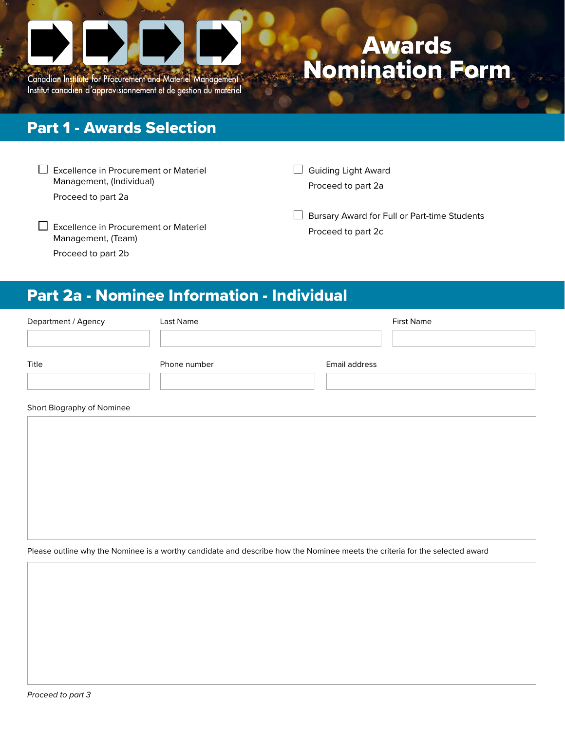

Canadian Institute for Procurement and Materiel Management Institut canadien d'approvisionnement et de gestion du matériel

# Awards Nomination Form

### Part 1 - Awards Selection

| $\Box$ Excellence in Procurement or Materiel |
|----------------------------------------------|
| Management, (Individual)                     |

Proceed to part 2a

Guiding Light Award Proceed to part 2a

 $\Box$  Excellence in Procurement or Materiel Management, (Team) Proceed to part 2b

 $\Box$  Bursary Award for Full or Part-time Students Proceed to part 2c

## Part 2a - Nominee Information - Individual

| Department / Agency        | Last Name    | <b>First Name</b> |  |  |  |  |
|----------------------------|--------------|-------------------|--|--|--|--|
|                            |              |                   |  |  |  |  |
| Title                      | Phone number | Email address     |  |  |  |  |
|                            |              |                   |  |  |  |  |
| Short Biography of Nominee |              |                   |  |  |  |  |
|                            |              |                   |  |  |  |  |
|                            |              |                   |  |  |  |  |

Please outline why the Nominee is a worthy candidate and describe how the Nominee meets the criteria for the selected award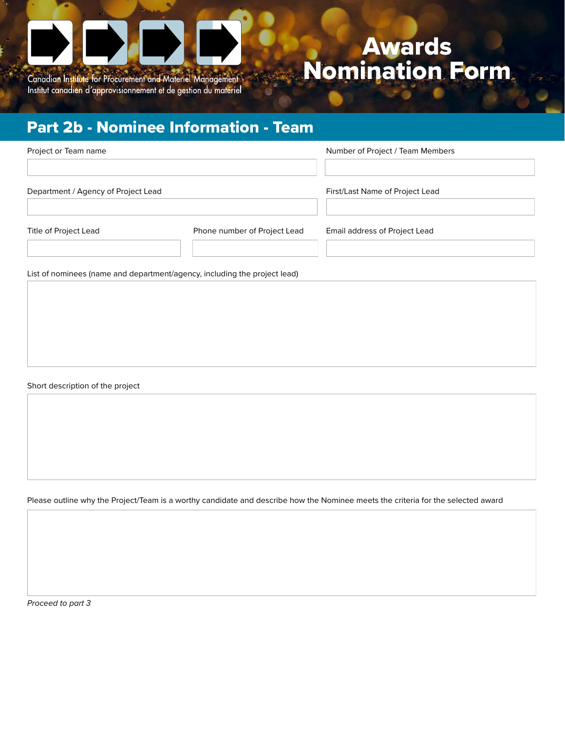

Institut canadien d'approvisionnement et de gestion du matériel

## Awards Nomination Form

## Part 2b - Nominee Information - Team

| Project or Team name                |                              | Number of Project / Team Members |
|-------------------------------------|------------------------------|----------------------------------|
| Department / Agency of Project Lead |                              | First/Last Name of Project Lead  |
|                                     |                              |                                  |
| Title of Project Lead               | Phone number of Project Lead | Email address of Project Lead    |

List of nominees (name and department/agency, including the project lead)

Short description of the project

Please outline why the Project/Team is a worthy candidate and describe how the Nominee meets the criteria for the selected award

*Proceed to part 3*